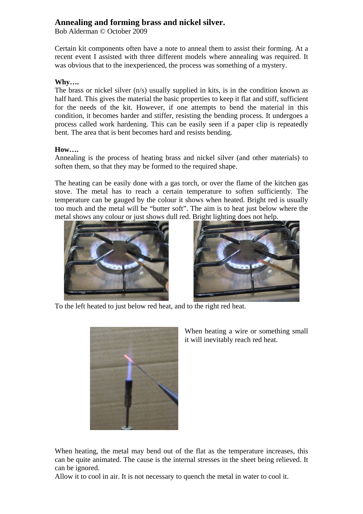## **Annealing and forming brass and nickel silver.**

Bob Alderman © October 2009

Certain kit components often have a note to anneal them to assist their forming. At a recent event I assisted with three different models where annealing was required. It was obvious that to the inexperienced, the process was something of a mystery.

## **Why….**

The brass or nickel silver (n/s) usually supplied in kits, is in the condition known as half hard. This gives the material the basic properties to keep it flat and stiff, sufficient for the needs of the kit. However, if one attempts to bend the material in this condition, it becomes harder and stiffer, resisting the bending process. It undergoes a process called work hardening. This can be easily seen if a paper clip is repeatedly bent. The area that is bent becomes hard and resists bending.

## **How….**

Annealing is the process of heating brass and nickel silver (and other materials) to soften them, so that they may be formed to the required shape.

The heating can be easily done with a gas torch, or over the flame of the kitchen gas stove. The metal has to reach a certain temperature to soften sufficiently. The temperature can be gauged by the colour it shows when heated. Bright red is usually too much and the metal will be "butter soft". The aim is to heat just below where the metal shows any colour or just shows dull red. Bright lighting does not help.





To the left heated to just below red heat, and to the right red heat.



When heating a wire or something small it will inevitably reach red heat.

When heating, the metal may bend out of the flat as the temperature increases, this can be quite animated. The cause is the internal stresses in the sheet being relieved. It can be ignored.

Allow it to cool in air. It is not necessary to quench the metal in water to cool it.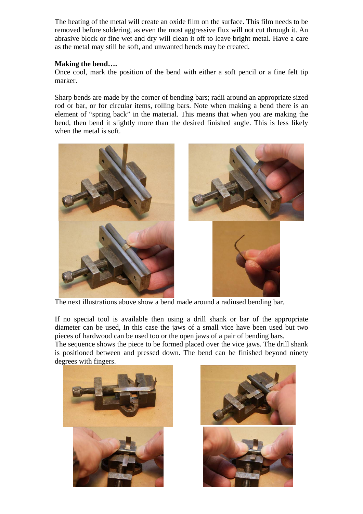The heating of the metal will create an oxide film on the surface. This film needs to be removed before soldering, as even the most aggressive flux will not cut through it. An abrasive block or fine wet and dry will clean it off to leave bright metal. Have a care as the metal may still be soft, and unwanted bends may be created.

## **Making the bend….**

Once cool, mark the position of the bend with either a soft pencil or a fine felt tip marker.

Sharp bends are made by the corner of bending bars; radii around an appropriate sized rod or bar, or for circular items, rolling bars. Note when making a bend there is an element of "spring back" in the material. This means that when you are making the bend, then bend it slightly more than the desired finished angle. This is less likely when the metal is soft.



The next illustrations above show a bend made around a radiused bending bar.

If no special tool is available then using a drill shank or bar of the appropriate diameter can be used, In this case the jaws of a small vice have been used but two pieces of hardwood can be used too or the open jaws of a pair of bending bars.

The sequence shows the piece to be formed placed over the vice jaws. The drill shank is positioned between and pressed down. The bend can be finished beyond ninety degrees with fingers.



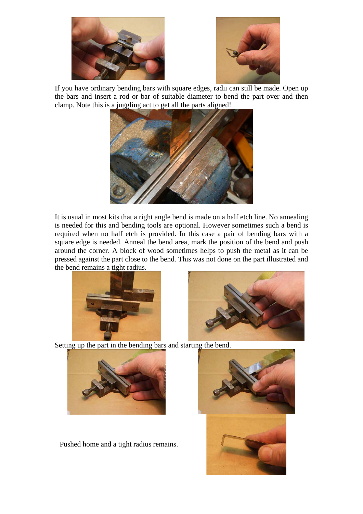



If you have ordinary bending bars with square edges, radii can still be made. Open up the bars and insert a rod or bar of suitable diameter to bend the part over and then clamp. Note this is a juggling act to get all the parts aligned!



It is usual in most kits that a right angle bend is made on a half etch line. No annealing is needed for this and bending tools are optional. However sometimes such a bend is required when no half etch is provided. In this case a pair of bending bars with a square edge is needed. Anneal the bend area, mark the position of the bend and push around the corner. A block of wood sometimes helps to push the metal as it can be pressed against the part close to the bend. This was not done on the part illustrated and the bend remains a tight radius.





Setting up the part in the bending bars and starting the bend.



Pushed home and a tight radius remains.

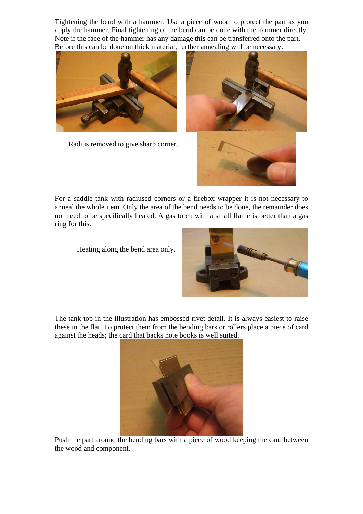Tightening the bend with a hammer. Use a piece of wood to protect the part as you apply the hammer. Final tightening of the bend can be done with the hammer directly. Note if the face of the hammer has any damage this can be transferred onto the part. Before this can be done on thick material, further annealing will be necessary.



Radius removed to give sharp corner.



For a saddle tank with radiused corners or a firebox wrapper it is not necessary to anneal the whole item. Only the area of the bend needs to be done, the remainder does not need to be specifically heated. A gas torch with a small flame is better than a gas ring for this.

Heating along the bend area only.



The tank top in the illustration has embossed rivet detail. It is always easiest to raise these in the flat. To protect them from the bending bars or rollers place a piece of card against the heads; the card that backs note books is well suited.



Push the part around the bending bars with a piece of wood keeping the card between the wood and component.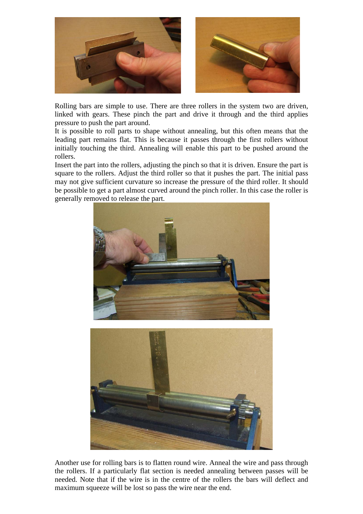

Rolling bars are simple to use. There are three rollers in the system two are driven, linked with gears. These pinch the part and drive it through and the third applies pressure to push the part around.

It is possible to roll parts to shape without annealing, but this often means that the leading part remains flat. This is because it passes through the first rollers without initially touching the third. Annealing will enable this part to be pushed around the rollers.

Insert the part into the rollers, adjusting the pinch so that it is driven. Ensure the part is square to the rollers. Adjust the third roller so that it pushes the part. The initial pass may not give sufficient curvature so increase the pressure of the third roller. It should be possible to get a part almost curved around the pinch roller. In this case the roller is generally removed to release the part.



Another use for rolling bars is to flatten round wire. Anneal the wire and pass through the rollers. If a particularly flat section is needed annealing between passes will be needed. Note that if the wire is in the centre of the rollers the bars will deflect and maximum squeeze will be lost so pass the wire near the end.